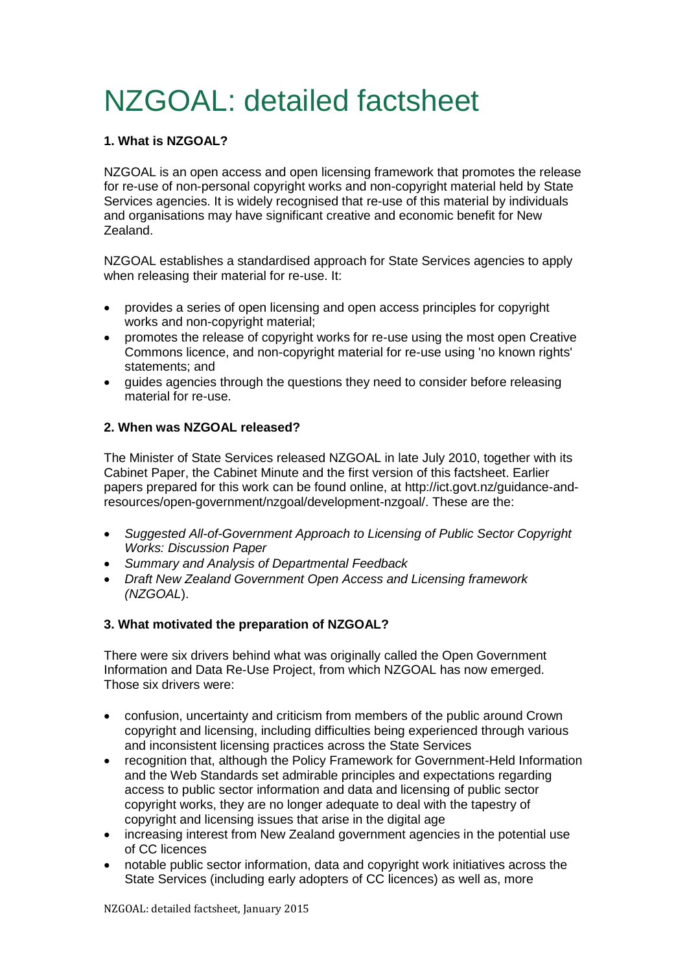# NZGOAL: detailed factsheet

# **1. What is NZGOAL?**

NZGOAL is an open access and open licensing framework that promotes the release for re-use of non-personal copyright works and non-copyright material held by State Services agencies. It is widely recognised that re-use of this material by individuals and organisations may have significant creative and economic benefit for New Zealand.

NZGOAL establishes a standardised approach for State Services agencies to apply when releasing their material for re-use. It:

- provides a series of open licensing and open access principles for copyright works and non-copyright material;
- promotes the release of copyright works for re-use using the most open Creative Commons licence, and non-copyright material for re-use using 'no known rights' statements; and
- quides agencies through the questions they need to consider before releasing material for re-use.

## **2. When was NZGOAL released?**

The Minister of State Services released NZGOAL in late July 2010, together with its Cabinet Paper, the Cabinet Minute and the first version of this factsheet. Earlier papers prepared for this work can be found online, at http://ict.govt.nz/guidance-andresources/open-government/nzgoal/development-nzgoal/. These are the:

- *Suggested All-of-Government Approach to Licensing of Public Sector Copyright Works: Discussion Paper*
- *Summary and Analysis of Departmental Feedback*
- *Draft New Zealand Government Open Access and Licensing framework (NZGOAL*).

# **3. What motivated the preparation of NZGOAL?**

There were six drivers behind what was originally called the Open Government Information and Data Re-Use Project, from which NZGOAL has now emerged. Those six drivers were:

- confusion, uncertainty and criticism from members of the public around Crown copyright and licensing, including difficulties being experienced through various and inconsistent licensing practices across the State Services
- recognition that, although the Policy Framework for Government-Held Information and the Web Standards set admirable principles and expectations regarding access to public sector information and data and licensing of public sector copyright works, they are no longer adequate to deal with the tapestry of copyright and licensing issues that arise in the digital age
- increasing interest from New Zealand government agencies in the potential use of CC licences
- notable public sector information, data and copyright work initiatives across the State Services (including early adopters of CC licences) as well as, more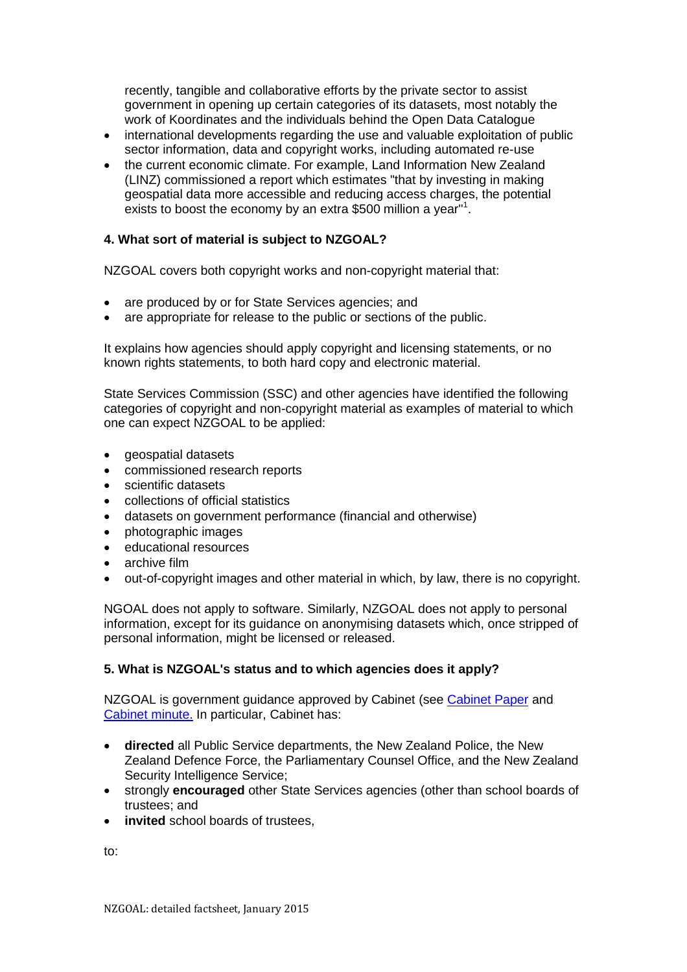recently, tangible and collaborative efforts by the private sector to assist government in opening up certain categories of its datasets, most notably the work of Koordinates and the individuals behind the Open Data Catalogue

- international developments regarding the use and valuable exploitation of public sector information, data and copyright works, including automated re-use
- the current economic climate. For example, Land Information New Zealand (LINZ) commissioned a report which estimates "that by investing in making geospatial data more accessible and reducing access charges, the potential exists to boost the economy by an extra \$500 million a year"<sup>1</sup>.

### **4. What sort of material is subject to NZGOAL?**

NZGOAL covers both copyright works and non-copyright material that:

- are produced by or for State Services agencies; and
- are appropriate for release to the public or sections of the public.

It explains how agencies should apply copyright and licensing statements, or no known rights statements, to both hard copy and electronic material.

State Services Commission (SSC) and other agencies have identified the following categories of copyright and non-copyright material as examples of material to which one can expect NZGOAL to be applied:

- geospatial datasets
- commissioned research reports
- scientific datasets
- collections of official statistics
- datasets on government performance (financial and otherwise)
- photographic images
- educational resources
- archive film
- out-of-copyright images and other material in which, by law, there is no copyright.

NGOAL does not apply to software. Similarly, NZGOAL does not apply to personal information, except for its guidance on anonymising datasets which, once stripped of personal information, might be licensed or released.

### **5. What is NZGOAL's status and to which agencies does it apply?**

NZGOAL is government guidance approved by Cabinet (see [Cabinet Paper](https://ict.govt.nz/assets/Uploads/Documents/NZGOAL%20Cabinet%20Paper.pdf) and [Cabinet minute.](https://ict.govt.nz/assets/Uploads/Documents/NZGOAL%20Cabinet%20Minute.pdf) In particular, Cabinet has:

- **directed** all Public Service departments, the New Zealand Police, the New Zealand Defence Force, the Parliamentary Counsel Office, and the New Zealand Security Intelligence Service;
- strongly **encouraged** other State Services agencies (other than school boards of trustees; and
- **invited** school boards of trustees,

to: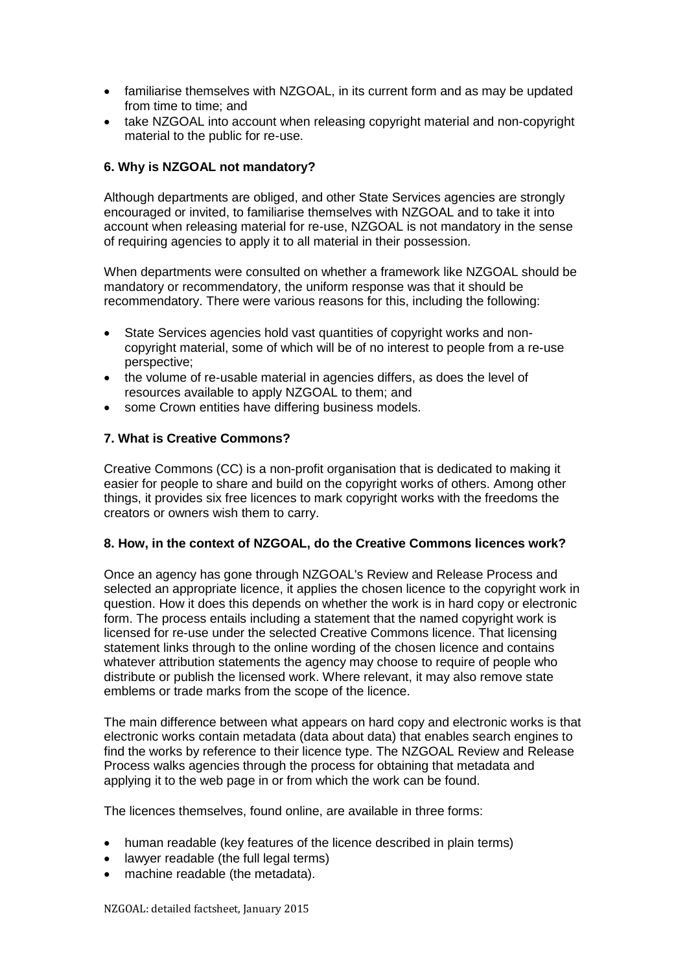- familiarise themselves with NZGOAL, in its current form and as may be updated from time to time; and
- take NZGOAL into account when releasing copyright material and non-copyright material to the public for re-use.

## **6. Why is NZGOAL not mandatory?**

Although departments are obliged, and other State Services agencies are strongly encouraged or invited, to familiarise themselves with NZGOAL and to take it into account when releasing material for re-use, NZGOAL is not mandatory in the sense of requiring agencies to apply it to all material in their possession.

When departments were consulted on whether a framework like NZGOAL should be mandatory or recommendatory, the uniform response was that it should be recommendatory. There were various reasons for this, including the following:

- State Services agencies hold vast quantities of copyright works and noncopyright material, some of which will be of no interest to people from a re-use perspective;
- the volume of re-usable material in agencies differs, as does the level of resources available to apply NZGOAL to them; and
- some Crown entities have differing business models.

### **7. What is Creative Commons?**

Creative Commons (CC) is a non-profit organisation that is dedicated to making it easier for people to share and build on the copyright works of others. Among other things, it provides six free licences to mark copyright works with the freedoms the creators or owners wish them to carry.

### **8. How, in the context of NZGOAL, do the Creative Commons licences work?**

Once an agency has gone through NZGOAL's Review and Release Process and selected an appropriate licence, it applies the chosen licence to the copyright work in question. How it does this depends on whether the work is in hard copy or electronic form. The process entails including a statement that the named copyright work is licensed for re-use under the selected Creative Commons licence. That licensing statement links through to the online wording of the chosen licence and contains whatever attribution statements the agency may choose to require of people who distribute or publish the licensed work. Where relevant, it may also remove state emblems or trade marks from the scope of the licence.

The main difference between what appears on hard copy and electronic works is that electronic works contain metadata (data about data) that enables search engines to find the works by reference to their licence type. The NZGOAL Review and Release Process walks agencies through the process for obtaining that metadata and applying it to the web page in or from which the work can be found.

The licences themselves, found online, are available in three forms:

- human readable (key features of the licence described in plain terms)
- lawyer readable (the full legal terms)
- machine readable (the metadata).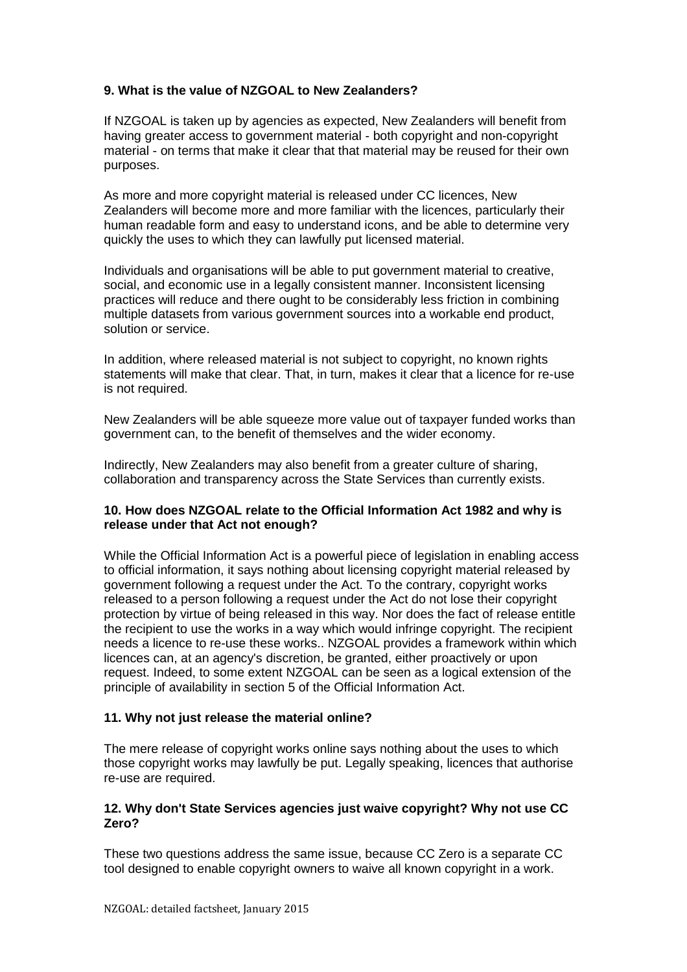## **9. What is the value of NZGOAL to New Zealanders?**

If NZGOAL is taken up by agencies as expected, New Zealanders will benefit from having greater access to government material - both copyright and non-copyright material - on terms that make it clear that that material may be reused for their own purposes.

As more and more copyright material is released under CC licences, New Zealanders will become more and more familiar with the licences, particularly their human readable form and easy to understand icons, and be able to determine very quickly the uses to which they can lawfully put licensed material.

Individuals and organisations will be able to put government material to creative, social, and economic use in a legally consistent manner. Inconsistent licensing practices will reduce and there ought to be considerably less friction in combining multiple datasets from various government sources into a workable end product, solution or service.

In addition, where released material is not subject to copyright, no known rights statements will make that clear. That, in turn, makes it clear that a licence for re-use is not required.

New Zealanders will be able squeeze more value out of taxpayer funded works than government can, to the benefit of themselves and the wider economy.

Indirectly, New Zealanders may also benefit from a greater culture of sharing, collaboration and transparency across the State Services than currently exists.

### **10. How does NZGOAL relate to the Official Information Act 1982 and why is release under that Act not enough?**

While the Official Information Act is a powerful piece of legislation in enabling access to official information, it says nothing about licensing copyright material released by government following a request under the Act. To the contrary, copyright works released to a person following a request under the Act do not lose their copyright protection by virtue of being released in this way. Nor does the fact of release entitle the recipient to use the works in a way which would infringe copyright. The recipient needs a licence to re-use these works.. NZGOAL provides a framework within which licences can, at an agency's discretion, be granted, either proactively or upon request. Indeed, to some extent NZGOAL can be seen as a logical extension of the principle of availability in section 5 of the Official Information Act.

### **11. Why not just release the material online?**

The mere release of copyright works online says nothing about the uses to which those copyright works may lawfully be put. Legally speaking, licences that authorise re-use are required.

#### **12. Why don't State Services agencies just waive copyright? Why not use CC Zero?**

These two questions address the same issue, because CC Zero is a separate CC tool designed to enable copyright owners to waive all known copyright in a work.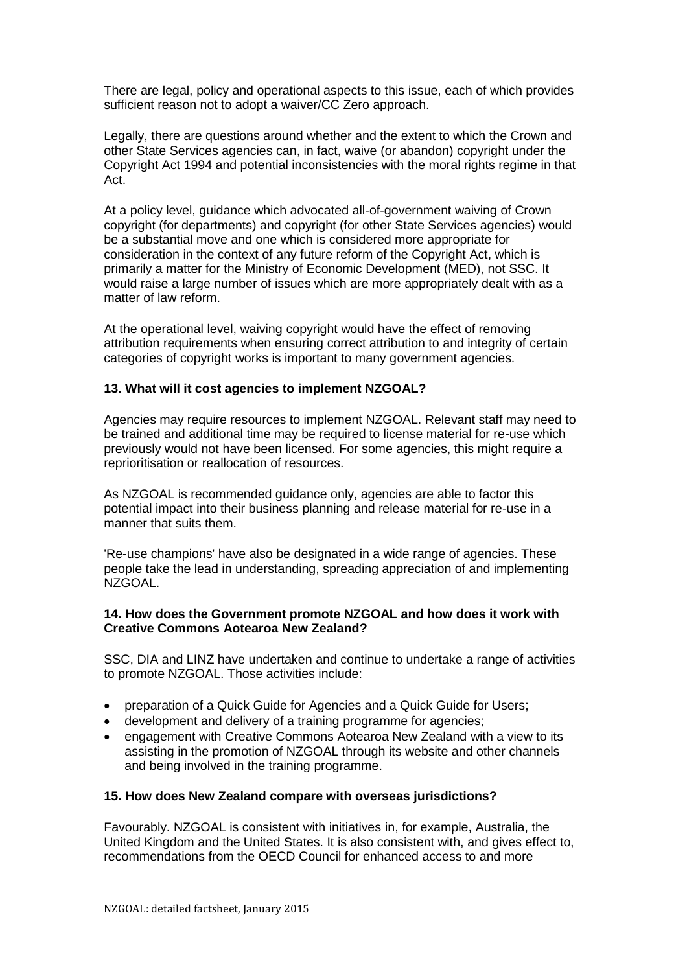There are legal, policy and operational aspects to this issue, each of which provides sufficient reason not to adopt a waiver/CC Zero approach.

Legally, there are questions around whether and the extent to which the Crown and other State Services agencies can, in fact, waive (or abandon) copyright under the Copyright Act 1994 and potential inconsistencies with the moral rights regime in that Act.

At a policy level, guidance which advocated all-of-government waiving of Crown copyright (for departments) and copyright (for other State Services agencies) would be a substantial move and one which is considered more appropriate for consideration in the context of any future reform of the Copyright Act, which is primarily a matter for the Ministry of Economic Development (MED), not SSC. It would raise a large number of issues which are more appropriately dealt with as a matter of law reform.

At the operational level, waiving copyright would have the effect of removing attribution requirements when ensuring correct attribution to and integrity of certain categories of copyright works is important to many government agencies.

#### **13. What will it cost agencies to implement NZGOAL?**

Agencies may require resources to implement NZGOAL. Relevant staff may need to be trained and additional time may be required to license material for re-use which previously would not have been licensed. For some agencies, this might require a reprioritisation or reallocation of resources.

As NZGOAL is recommended guidance only, agencies are able to factor this potential impact into their business planning and release material for re-use in a manner that suits them.

'Re-use champions' have also be designated in a wide range of agencies. These people take the lead in understanding, spreading appreciation of and implementing NZGOAL.

#### **14. How does the Government promote NZGOAL and how does it work with Creative Commons Aotearoa New Zealand?**

SSC, DIA and LINZ have undertaken and continue to undertake a range of activities to promote NZGOAL. Those activities include:

- preparation of a Quick Guide for Agencies and a Quick Guide for Users;
- development and delivery of a training programme for agencies;
- engagement with Creative Commons Aotearoa New Zealand with a view to its assisting in the promotion of NZGOAL through its website and other channels and being involved in the training programme.

#### **15. How does New Zealand compare with overseas jurisdictions?**

Favourably. NZGOAL is consistent with initiatives in, for example, Australia, the United Kingdom and the United States. It is also consistent with, and gives effect to, recommendations from the OECD Council for enhanced access to and more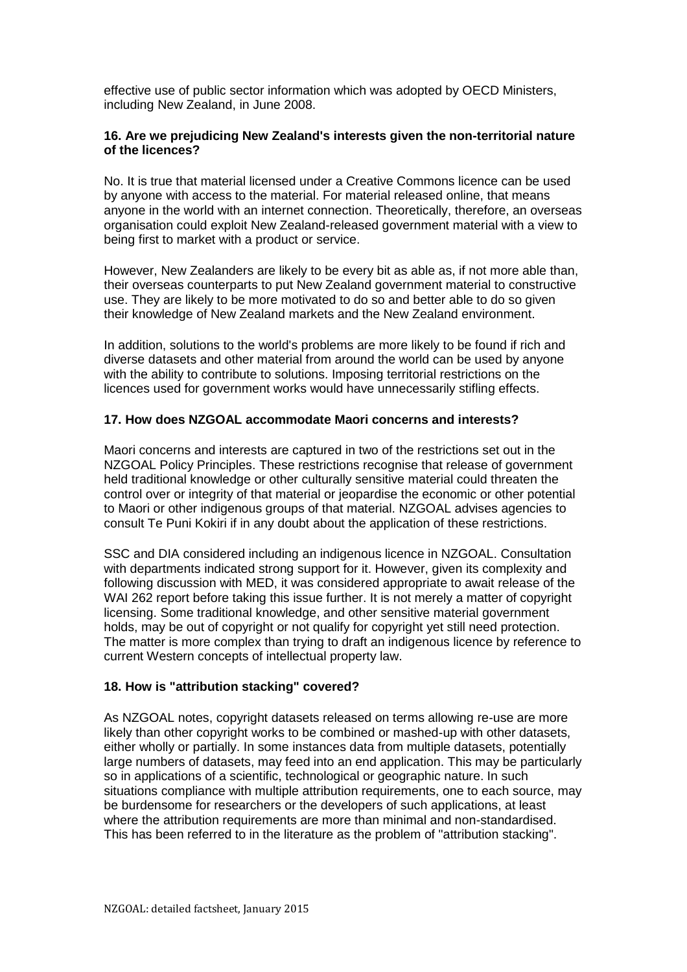effective use of public sector information which was adopted by OECD Ministers, including New Zealand, in June 2008.

### **16. Are we prejudicing New Zealand's interests given the non-territorial nature of the licences?**

No. It is true that material licensed under a Creative Commons licence can be used by anyone with access to the material. For material released online, that means anyone in the world with an internet connection. Theoretically, therefore, an overseas organisation could exploit New Zealand-released government material with a view to being first to market with a product or service.

However, New Zealanders are likely to be every bit as able as, if not more able than, their overseas counterparts to put New Zealand government material to constructive use. They are likely to be more motivated to do so and better able to do so given their knowledge of New Zealand markets and the New Zealand environment.

In addition, solutions to the world's problems are more likely to be found if rich and diverse datasets and other material from around the world can be used by anyone with the ability to contribute to solutions. Imposing territorial restrictions on the licences used for government works would have unnecessarily stifling effects.

### **17. How does NZGOAL accommodate Maori concerns and interests?**

Maori concerns and interests are captured in two of the restrictions set out in the NZGOAL Policy Principles. These restrictions recognise that release of government held traditional knowledge or other culturally sensitive material could threaten the control over or integrity of that material or jeopardise the economic or other potential to Maori or other indigenous groups of that material. NZGOAL advises agencies to consult Te Puni Kokiri if in any doubt about the application of these restrictions.

SSC and DIA considered including an indigenous licence in NZGOAL. Consultation with departments indicated strong support for it. However, given its complexity and following discussion with MED, it was considered appropriate to await release of the WAI 262 report before taking this issue further. It is not merely a matter of copyright licensing. Some traditional knowledge, and other sensitive material government holds, may be out of copyright or not qualify for copyright yet still need protection. The matter is more complex than trying to draft an indigenous licence by reference to current Western concepts of intellectual property law.

#### **18. How is "attribution stacking" covered?**

As NZGOAL notes, copyright datasets released on terms allowing re-use are more likely than other copyright works to be combined or mashed-up with other datasets, either wholly or partially. In some instances data from multiple datasets, potentially large numbers of datasets, may feed into an end application. This may be particularly so in applications of a scientific, technological or geographic nature. In such situations compliance with multiple attribution requirements, one to each source, may be burdensome for researchers or the developers of such applications, at least where the attribution requirements are more than minimal and non-standardised. This has been referred to in the literature as the problem of "attribution stacking".